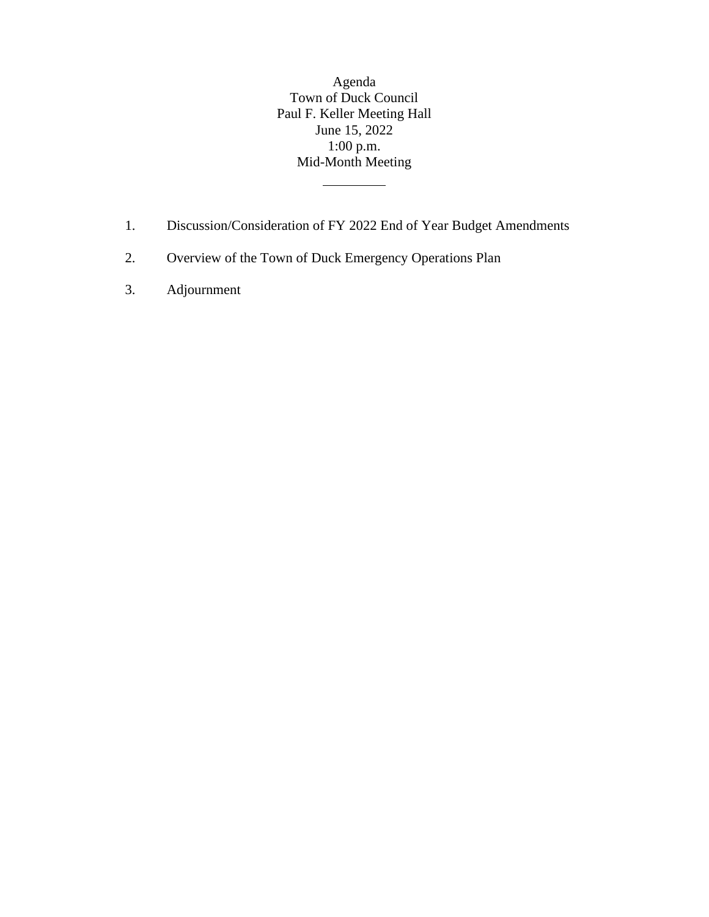Agenda Town of Duck Council Paul F. Keller Meeting Hall June 15, 2022 1:00 p.m. Mid-Month Meeting

- 1. Discussion/Consideration of FY 2022 End of Year Budget Amendments
- 2. Overview of the Town of Duck Emergency Operations Plan
- 3. Adjournment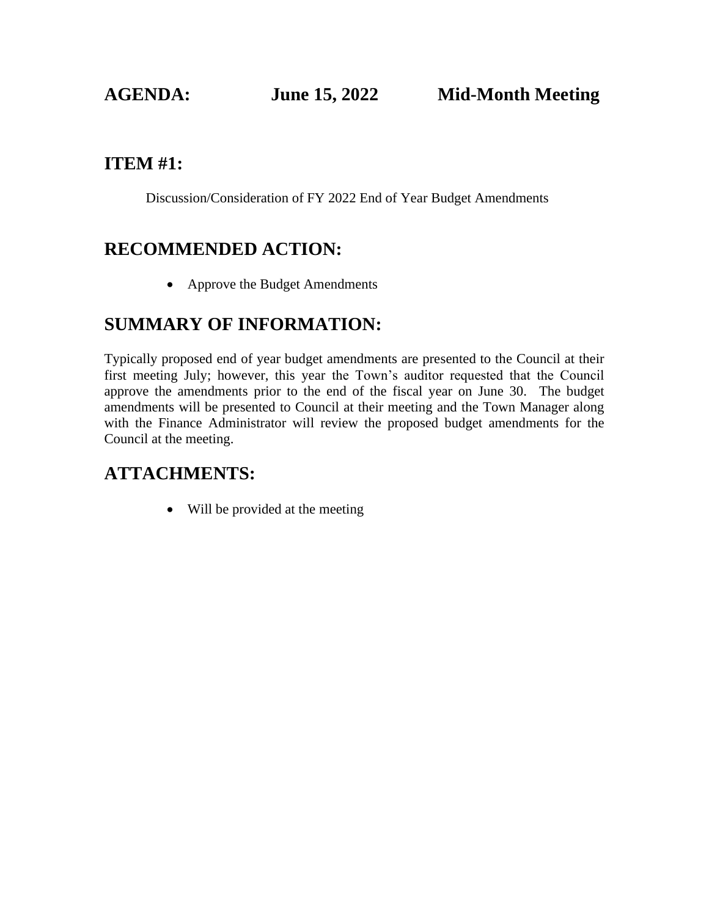#### **ITEM #1:**

Discussion/Consideration of FY 2022 End of Year Budget Amendments

### **RECOMMENDED ACTION:**

• Approve the Budget Amendments

#### **SUMMARY OF INFORMATION:**

Typically proposed end of year budget amendments are presented to the Council at their first meeting July; however, this year the Town's auditor requested that the Council approve the amendments prior to the end of the fiscal year on June 30. The budget amendments will be presented to Council at their meeting and the Town Manager along with the Finance Administrator will review the proposed budget amendments for the Council at the meeting.

### **ATTACHMENTS:**

• Will be provided at the meeting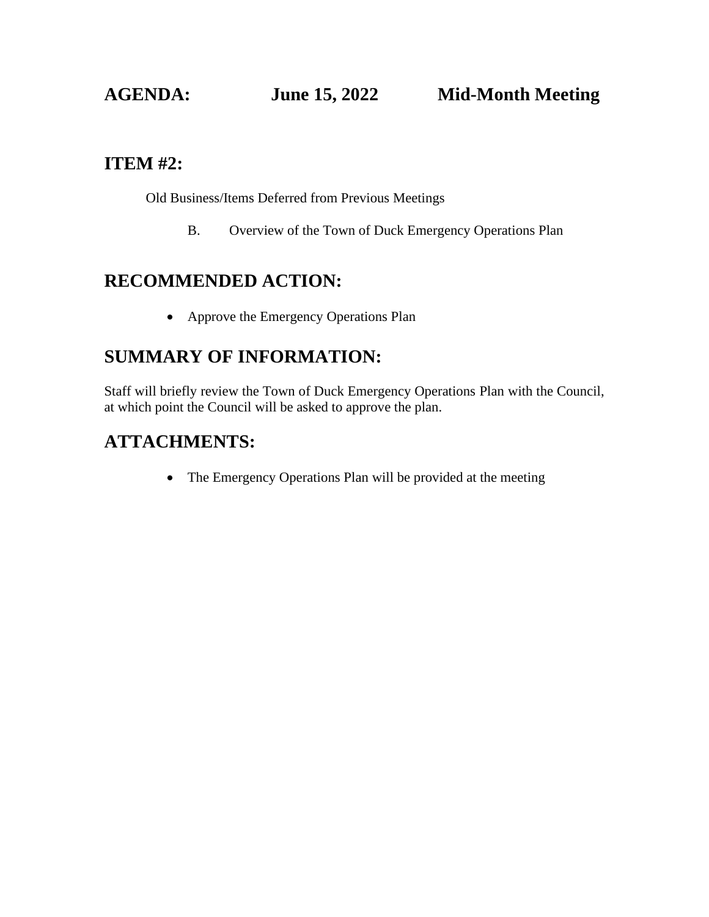#### **ITEM #2:**

Old Business/Items Deferred from Previous Meetings

B. Overview of the Town of Duck Emergency Operations Plan

### **RECOMMENDED ACTION:**

• Approve the Emergency Operations Plan

### **SUMMARY OF INFORMATION:**

Staff will briefly review the Town of Duck Emergency Operations Plan with the Council, at which point the Council will be asked to approve the plan.

#### **ATTACHMENTS:**

• The Emergency Operations Plan will be provided at the meeting